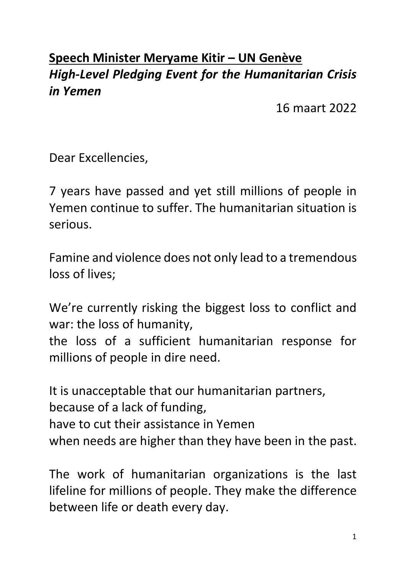## **Speech Minister Meryame Kitir – UN Genève** *High-Level Pledging Event for the Humanitarian Crisis in Yemen*

16 maart 2022

Dear Excellencies,

7 years have passed and yet still millions of people in Yemen continue to suffer. The humanitarian situation is serious.

Famine and violence does not only lead to a tremendous loss of lives;

We're currently risking the biggest loss to conflict and war: the loss of humanity,

the loss of a sufficient humanitarian response for millions of people in dire need.

It is unacceptable that our humanitarian partners, because of a lack of funding, have to cut their assistance in Yemen when needs are higher than they have been in the past.

The work of humanitarian organizations is the last lifeline for millions of people. They make the difference between life or death every day.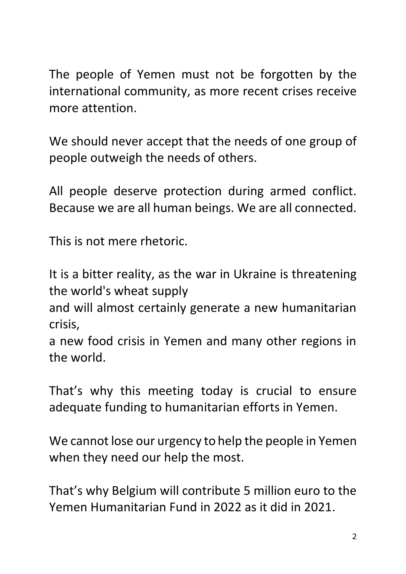The people of Yemen must not be forgotten by the international community, as more recent crises receive more attention.

We should never accept that the needs of one group of people outweigh the needs of others.

All people deserve protection during armed conflict. Because we are all human beings. We are all connected.

This is not mere rhetoric.

It is a bitter reality, as the war in Ukraine is threatening the world's wheat supply

and will almost certainly generate a new humanitarian crisis,

a new food crisis in Yemen and many other regions in the world.

That's why this meeting today is crucial to ensure adequate funding to humanitarian efforts in Yemen.

We cannot lose our urgency to help the people in Yemen when they need our help the most.

That's why Belgium will contribute 5 million euro to the Yemen Humanitarian Fund in 2022 as it did in 2021.